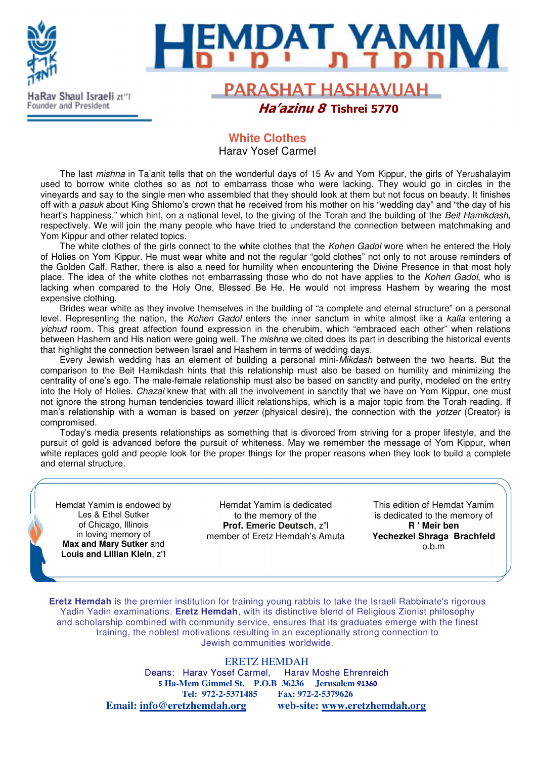

## **White Clothes**  Harav Yosef Carmel

The last mishna in Ta'anit tells that on the wonderful days of 15 Av and Yom Kippur, the girls of Yerushalayim used to borrow white clothes so as not to embarrass those who were lacking. They would go in circles in the vineyards and say to the single men who assembled that they should look at them but not focus on beauty. It finishes off with a pasuk about King Shlomo's crown that he received from his mother on his "wedding day" and "the day of his heart's happiness," which hint, on a national level, to the giving of the Torah and the building of the Beit Hamikdash, respectively. We will join the many people who have tried to understand the connection between matchmaking and Yom Kippur and other related topics.

The white clothes of the girls connect to the white clothes that the Kohen Gadol wore when he entered the Holy of Holies on Yom Kippur. He must wear white and not the regular "gold clothes" not only to not arouse reminders of the Golden Calf. Rather, there is also a need for humility when encountering the Divine Presence in that most holy place. The idea of the white clothes not embarrassing those who do not have applies to the Kohen Gadol, who is lacking when compared to the Holy One, Blessed Be He. He would not impress Hashem by wearing the most expensive clothing.

Brides wear white as they involve themselves in the building of "a complete and eternal structure" on a personal level. Representing the nation, the Kohen Gadol enters the inner sanctum in white almost like a kalla entering a yichud room. This great affection found expression in the cherubim, which "embraced each other" when relations between Hashem and His nation were going well. The *mishna* we cited does its part in describing the historical events that highlight the connection between Israel and Hashem in terms of wedding days.

Every Jewish wedding has an element of building a personal mini-Mikdash between the two hearts. But the comparison to the Beit Hamikdash hints that this relationship must also be based on humility and minimizing the centrality of one's ego. The male-female relationship must also be based on sanctity and purity, modeled on the entry into the Holy of Holies. Chazal knew that with all the involvement in sanctity that we have on Yom Kippur, one must not ignore the strong human tendencies toward illicit relationships, which is a major topic from the Torah reading. If man's relationship with a woman is based on *yetzer* (physical desire), the connection with the *yotzer* (Creator) is compromised.

Today's media presents relationships as something that is divorced from striving for a proper lifestyle, and the pursuit of gold is advanced before the pursuit of whiteness. May we remember the message of Yom Kippur, when white replaces gold and people look for the proper things for the proper reasons when they look to build a complete and eternal structure.

Hemdat Yamim is endowed by Les & Ethel Sutker of Chicago, Illinois in loving memory of **Max and Mary Sutker** and **Louis and Lillian Klein**, z"l

Hemdat Yamim is dedicated to the memory of the **Prof. Emeric Deutsch**, z"l member of Eretz Hemdah's Amuta

This edition of Hemdat Yamim is dedicated to the memory of **R ' Meir ben Yechezkel Shraga Brachfeld** o.b.m

**Eretz Hemdah** is the premier institution for training young rabbis to take the Israeli Rabbinate's rigorous Yadin Yadin examinations. **Eretz Hemdah**, with its distinctive blend of Religious Zionist philosophy and scholarship combined with community service, ensures that its graduates emerge with the finest training, the noblest motivations resulting in an exceptionally strong connection to Jewish communities worldwide.

#### ERETZ HEMDAH

Deans: Harav Yosef Carmel, Harav Moshe Ehrenreich 5 **Ha-Mem Gimmel St. P.O.B 36236 Jerusalem** 91360 **Tel: 972-2-5371485 Fax: 972-2-5379626 Email: info@eretzhemdah.org web-site: www.eretzhemdah.org**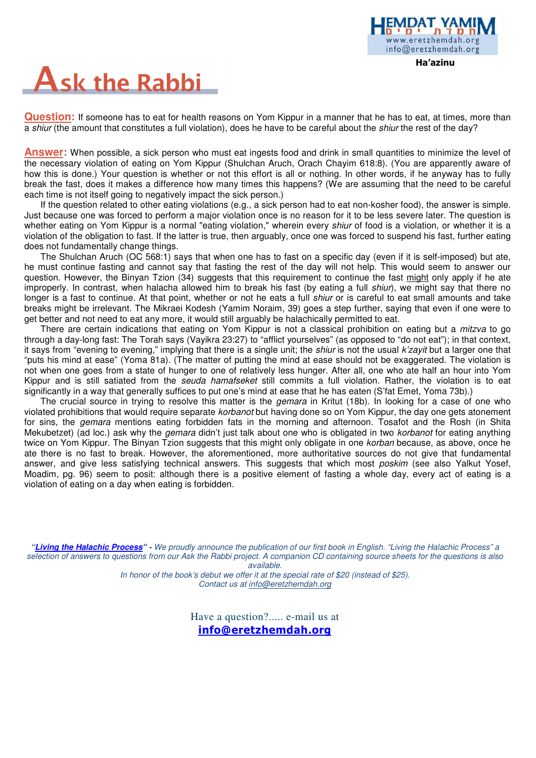

Ha'azinu

# **Ask the Rabbi**

**Question:** If someone has to eat for health reasons on Yom Kippur in a manner that he has to eat, at times, more than a shiur (the amount that constitutes a full violation), does he have to be careful about the shiur the rest of the day?

**Answer:** When possible, a sick person who must eat ingests food and drink in small quantities to minimize the level of the necessary violation of eating on Yom Kippur (Shulchan Aruch, Orach Chayim 618:8). (You are apparently aware of how this is done.) Your question is whether or not this effort is all or nothing. In other words, if he anyway has to fully break the fast, does it makes a difference how many times this happens? (We are assuming that the need to be careful each time is not itself going to negatively impact the sick person.)

If the question related to other eating violations (e.g., a sick person had to eat non-kosher food), the answer is simple. Just because one was forced to perform a major violation once is no reason for it to be less severe later. The question is whether eating on Yom Kippur is a normal "eating violation," wherein every shiur of food is a violation, or whether it is a violation of the obligation to fast. If the latter is true, then arguably, once one was forced to suspend his fast, further eating does not fundamentally change things.

The Shulchan Aruch (OC 568:1) says that when one has to fast on a specific day (even if it is self-imposed) but ate, he must continue fasting and cannot say that fasting the rest of the day will not help. This would seem to answer our question. However, the Binyan Tzion (34) suggests that this requirement to continue the fast might only apply if he ate improperly. In contrast, when halacha allowed him to break his fast (by eating a full shiur), we might say that there no longer is a fast to continue. At that point, whether or not he eats a full *shiur* or is careful to eat small amounts and take breaks might be irrelevant. The Mikraei Kodesh (Yamim Noraim, 39) goes a step further, saying that even if one were to get better and not need to eat any more, it would still arguably be halachically permitted to eat.

There are certain indications that eating on Yom Kippur is not a classical prohibition on eating but a mitzva to go through a day-long fast: The Torah says (Vayikra 23:27) to "afflict yourselves" (as opposed to "do not eat"); in that context, it says from "evening to evening," implying that there is a single unit; the *shiur* is not the usual *k'zayit* but a larger one that "puts his mind at ease" (Yoma 81a). (The matter of putting the mind at ease should not be exaggerated. The violation is not when one goes from a state of hunger to one of relatively less hunger. After all, one who ate half an hour into Yom Kippur and is still satiated from the *seuda hamafseket* still commits a full violation. Rather, the violation is to eat significantly in a way that generally suffices to put one's mind at ease that he has eaten (S'fat Emet, Yoma 73b).)

The crucial source in trying to resolve this matter is the *gemara* in Kritut (18b). In looking for a case of one who violated prohibitions that would require separate *korbanot* but having done so on Yom Kippur, the day one gets atonement for sins, the *gemara* mentions eating forbidden fats in the morning and afternoon. Tosafot and the Rosh (in Shita Mekubetzet) (ad loc.) ask why the *gemara* didn't just talk about one who is obligated in two *korbanot* for eating anything twice on Yom Kippur. The Binyan Tzion suggests that this might only obligate in one korban because, as above, once he ate there is no fast to break. However, the aforementioned, more authoritative sources do not give that fundamental answer, and give less satisfying technical answers. This suggests that which most poskim (see also Yalkut Yosef, Moadim, pg. 96) seem to posit: although there is a positive element of fasting a whole day, every act of eating is a violation of eating on a day when eating is forbidden.

**"Living the Halachic Process**" **-** We proudly announce the publication of our first book in English. "Living the Halachic Process" a selection of answers to questions from our Ask the Rabbi project. A companion CD containing source sheets for the questions is also

available.

In honor of the book's debut we offer it at the special rate of \$20 (instead of \$25). Contact us at info@eretzhemdah.org

> Have a question?..... e-mail us at info@eretzhemdah.org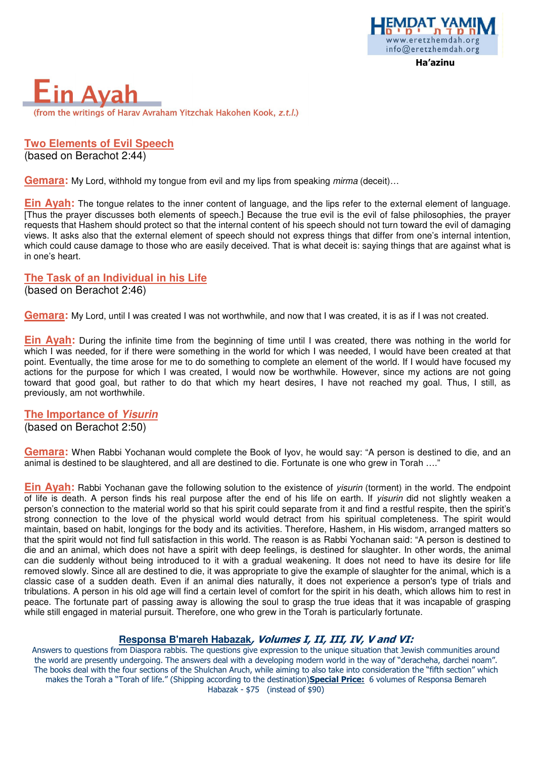



**Two Elements of Evil Speech**  (based on Berachot 2:44)

**Gemara:** My Lord, withhold my tongue from evil and my lips from speaking *mirma* (deceit)...

**Ein Ayah:** The tongue relates to the inner content of language, and the lips refer to the external element of language. [Thus the prayer discusses both elements of speech.] Because the true evil is the evil of false philosophies, the prayer requests that Hashem should protect so that the internal content of his speech should not turn toward the evil of damaging views. It asks also that the external element of speech should not express things that differ from one's internal intention, which could cause damage to those who are easily deceived. That is what deceit is: saying things that are against what is in one's heart.

#### **The Task of an Individual in his Life**

(based on Berachot 2:46)

**Gemara:** My Lord, until I was created I was not worthwhile, and now that I was created, it is as if I was not created.

**Ein Ayah:** During the infinite time from the beginning of time until I was created, there was nothing in the world for which I was needed, for if there were something in the world for which I was needed. I would have been created at that point. Eventually, the time arose for me to do something to complete an element of the world. If I would have focused my actions for the purpose for which I was created, I would now be worthwhile. However, since my actions are not going toward that good goal, but rather to do that which my heart desires, I have not reached my goal. Thus, I still, as previously, am not worthwhile.

**The Importance of Yisurin** (based on Berachot 2:50)

**Gemara:** When Rabbi Yochanan would complete the Book of Iyov, he would say: "A person is destined to die, and an animal is destined to be slaughtered, and all are destined to die. Fortunate is one who grew in Torah …."

**Ein Ayah:** Rabbi Yochanan gave the following solution to the existence of yisurin (torment) in the world. The endpoint of life is death. A person finds his real purpose after the end of his life on earth. If yisurin did not slightly weaken a person's connection to the material world so that his spirit could separate from it and find a restful respite, then the spirit's strong connection to the love of the physical world would detract from his spiritual completeness. The spirit would maintain, based on habit, longings for the body and its activities. Therefore, Hashem, in His wisdom, arranged matters so that the spirit would not find full satisfaction in this world. The reason is as Rabbi Yochanan said: "A person is destined to die and an animal, which does not have a spirit with deep feelings, is destined for slaughter. In other words, the animal can die suddenly without being introduced to it with a gradual weakening. It does not need to have its desire for life removed slowly. Since all are destined to die, it was appropriate to give the example of slaughter for the animal, which is a classic case of a sudden death. Even if an animal dies naturally, it does not experience a person's type of trials and tribulations. A person in his old age will find a certain level of comfort for the spirit in his death, which allows him to rest in peace. The fortunate part of passing away is allowing the soul to grasp the true ideas that it was incapable of grasping while still engaged in material pursuit. Therefore, one who grew in the Torah is particularly fortunate.

## **Responsa B'mareh Habazak**, Volumes I, II, III, IV, V and VI:

Answers to questions from Diaspora rabbis. The questions give expression to the unique situation that Jewish communities around the world are presently undergoing. The answers deal with a developing modern world in the way of "deracheha, darchei noam". The books deal with the four sections of the Shulchan Aruch, while aiming to also take into consideration the "fifth section" which makes the Torah a "Torah of life." (Shipping according to the destination)Special Price: 6 volumes of Responsa Bemareh Habazak - \$75 (instead of \$90)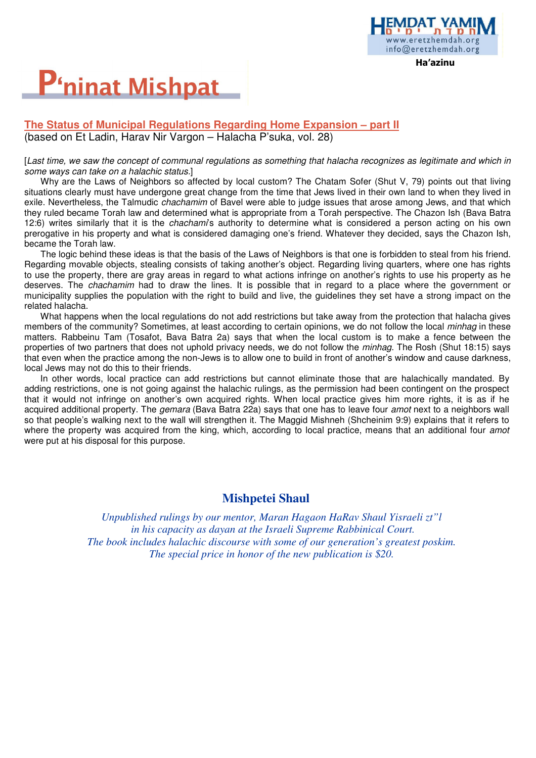# **P'ninat Mishpat**

### **The Status of Municipal Regulations Regarding Home Expansion – part II**  (based on Et Ladin, Harav Nir Vargon – Halacha P'suka, vol. 28)

#### [Last time, we saw the concept of communal regulations as something that halacha recognizes as legitimate and which in some ways can take on a halachic status.]

Ha'azinu

w.eretzhemdah.org info@eretzhemdah.org

Why are the Laws of Neighbors so affected by local custom? The Chatam Sofer (Shut V, 79) points out that living situations clearly must have undergone great change from the time that Jews lived in their own land to when they lived in exile. Nevertheless, the Talmudic *chachamim* of Bavel were able to judge issues that arose among Jews, and that which they ruled became Torah law and determined what is appropriate from a Torah perspective. The Chazon Ish (Bava Batra 12:6) writes similarly that it is the chachami's authority to determine what is considered a person acting on his own prerogative in his property and what is considered damaging one's friend. Whatever they decided, says the Chazon Ish, became the Torah law.

The logic behind these ideas is that the basis of the Laws of Neighbors is that one is forbidden to steal from his friend. Regarding movable objects, stealing consists of taking another's object. Regarding living quarters, where one has rights to use the property, there are gray areas in regard to what actions infringe on another's rights to use his property as he deserves. The chachamim had to draw the lines. It is possible that in regard to a place where the government or municipality supplies the population with the right to build and live, the guidelines they set have a strong impact on the related halacha.

What happens when the local regulations do not add restrictions but take away from the protection that halacha gives members of the community? Sometimes, at least according to certain opinions, we do not follow the local *minhag* in these matters. Rabbeinu Tam (Tosafot, Bava Batra 2a) says that when the local custom is to make a fence between the properties of two partners that does not uphold privacy needs, we do not follow the minhag. The Rosh (Shut 18:15) says that even when the practice among the non-Jews is to allow one to build in front of another's window and cause darkness, local Jews may not do this to their friends.

In other words, local practice can add restrictions but cannot eliminate those that are halachically mandated. By adding restrictions, one is not going against the halachic rulings, as the permission had been contingent on the prospect that it would not infringe on another's own acquired rights. When local practice gives him more rights, it is as if he acquired additional property. The *gemara* (Bava Batra 22a) says that one has to leave four *amot* next to a neighbors wall so that people's walking next to the wall will strengthen it. The Maggid Mishneh (Shcheinim 9:9) explains that it refers to where the property was acquired from the king, which, according to local practice, means that an additional four amot were put at his disposal for this purpose.

## **Mishpetei Shaul**

*Unpublished rulings by our mentor, Maran Hagaon HaRav Shaul Yisraeli zt"l in his capacity as dayan at the Israeli Supreme Rabbinical Court. The book includes halachic discourse with some of our generation's greatest poskim. The special price in honor of the new publication is \$20.*